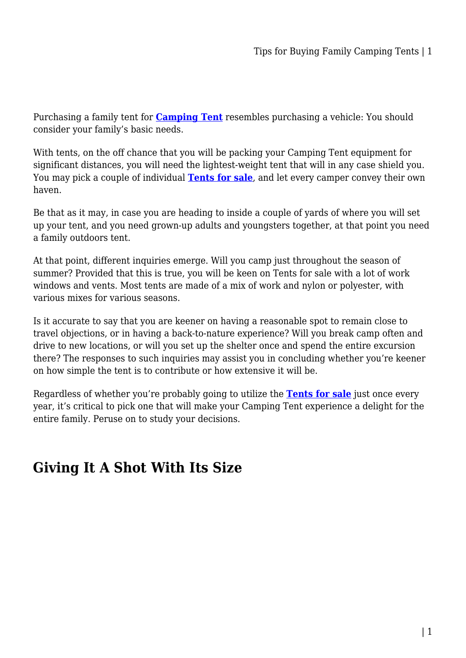Purchasing a family tent for **[Camping Tent](https://campingoffers.com.au/tent/)** resembles purchasing a vehicle: You should consider your family's basic needs.

With tents, on the off chance that you will be packing your Camping Tent equipment for significant distances, you will need the lightest-weight tent that will in any case shield you. You may pick a couple of individual **[Tents for sale](https://campingoffers.com.au/tent/)**, and let every camper convey their own haven.

Be that as it may, in case you are heading to inside a couple of yards of where you will set up your tent, and you need grown-up adults and youngsters together, at that point you need a family outdoors tent.

At that point, different inquiries emerge. Will you camp just throughout the season of summer? Provided that this is true, you will be keen on Tents for sale with a lot of work windows and vents. Most tents are made of a mix of work and nylon or polyester, with various mixes for various seasons.

Is it accurate to say that you are keener on having a reasonable spot to remain close to travel objections, or in having a back-to-nature experience? Will you break camp often and drive to new locations, or will you set up the shelter once and spend the entire excursion there? The responses to such inquiries may assist you in concluding whether you're keener on how simple the tent is to contribute or how extensive it will be.

Regardless of whether you're probably going to utilize the **[Tents for sale](https://campingoffers.com.au/tent/)** just once every year, it's critical to pick one that will make your Camping Tent experience a delight for the entire family. Peruse on to study your decisions.

## **Giving It A Shot With Its Size**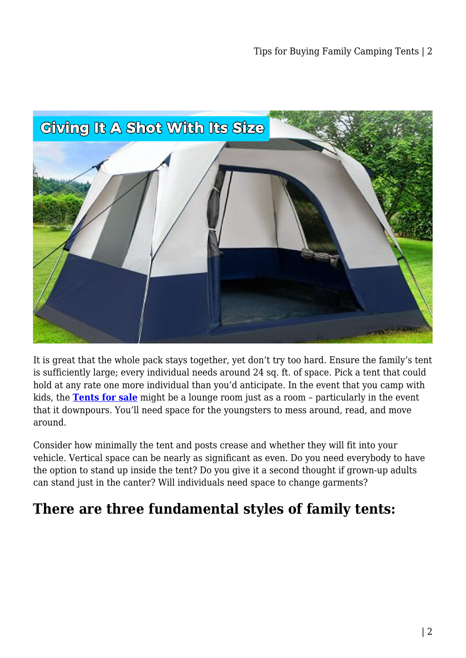

It is great that the whole pack stays together, yet don't try too hard. Ensure the family's tent is sufficiently large; every individual needs around 24 sq. ft. of space. Pick a tent that could hold at any rate one more individual than you'd anticipate. In the event that you camp with kids, the **[Tents for sale](https://campingoffers.com.au/tent/)** might be a lounge room just as a room – particularly in the event that it downpours. You'll need space for the youngsters to mess around, read, and move around.

Consider how minimally the tent and posts crease and whether they will fit into your vehicle. Vertical space can be nearly as significant as even. Do you need everybody to have the option to stand up inside the tent? Do you give it a second thought if grown-up adults can stand just in the canter? Will individuals need space to change garments?

## **There are three fundamental styles of family tents:**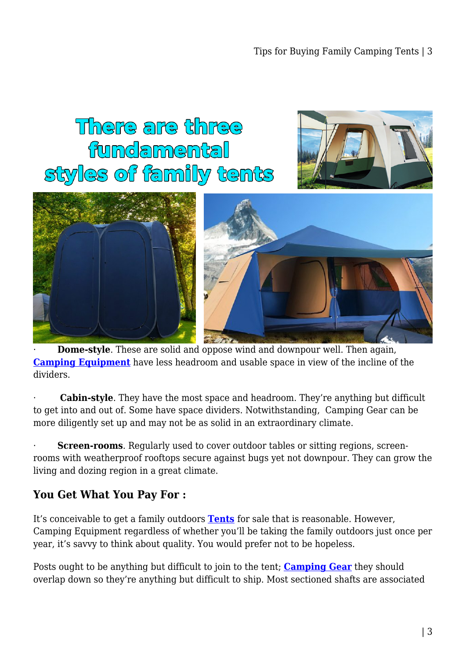# There are three fundamental styles of family tents





**Dome-style**. These are solid and oppose wind and downpour well. Then again, **[Camping Equipment](https://campingoffers.com.au/)** have less headroom and usable space in view of the incline of the dividers.

**Cabin-style**. They have the most space and headroom. They're anything but difficult to get into and out of. Some have space dividers. Notwithstanding, Camping Gear can be more diligently set up and may not be as solid in an extraordinary climate.

**Screen-rooms**. Regularly used to cover outdoor tables or sitting regions, screenrooms with weatherproof rooftops secure against bugs yet not downpour. They can grow the living and dozing region in a great climate.

#### **You Get What You Pay For :**

It's conceivable to get a family outdoors **[Tents](https://campingoffers.com.au/tent/)** for sale that is reasonable. However, Camping Equipment regardless of whether you'll be taking the family outdoors just once per year, it's savvy to think about quality. You would prefer not to be hopeless.

Posts ought to be anything but difficult to join to the tent; **[Camping Gear](https://campingoffers.com.au/)** they should overlap down so they're anything but difficult to ship. Most sectioned shafts are associated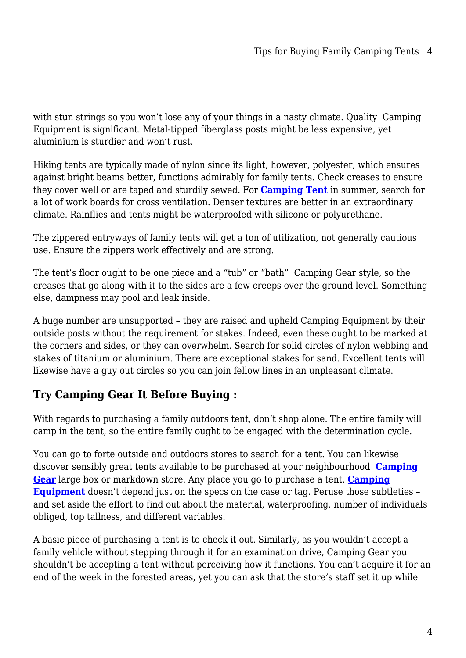with stun strings so you won't lose any of your things in a nasty climate. Quality Camping Equipment is significant. Metal-tipped fiberglass posts might be less expensive, yet aluminium is sturdier and won't rust.

Hiking tents are typically made of nylon since its light, however, polyester, which ensures against bright beams better, functions admirably for family tents. Check creases to ensure they cover well or are taped and sturdily sewed. For **[Camping Tent](https://campingoffers.com.au/tent/)** in summer, search for a lot of work boards for cross ventilation. Denser textures are better in an extraordinary climate. Rainflies and tents might be waterproofed with silicone or polyurethane.

The zippered entryways of family tents will get a ton of utilization, not generally cautious use. Ensure the zippers work effectively and are strong.

The tent's floor ought to be one piece and a "tub" or "bath" Camping Gear style, so the creases that go along with it to the sides are a few creeps over the ground level. Something else, dampness may pool and leak inside.

A huge number are unsupported – they are raised and upheld Camping Equipment by their outside posts without the requirement for stakes. Indeed, even these ought to be marked at the corners and sides, or they can overwhelm. Search for solid circles of nylon webbing and stakes of titanium or aluminium. There are exceptional stakes for sand. Excellent tents will likewise have a guy out circles so you can join fellow lines in an unpleasant climate.

### **Try Camping Gear It Before Buying :**

With regards to purchasing a family outdoors tent, don't shop alone. The entire family will camp in the tent, so the entire family ought to be engaged with the determination cycle.

You can go to forte outside and outdoors stores to search for a tent. You can likewise discover sensibly great tents available to be purchased at your neighbourhood **[Camping](https://campingoffers.com.au/) [Gear](https://campingoffers.com.au/)** large box or markdown store. Any place you go to purchase a tent, **[Camping](https://campingoffers.com.au/) [Equipment](https://campingoffers.com.au/)** doesn't depend just on the specs on the case or tag. Peruse those subtleties – and set aside the effort to find out about the material, waterproofing, number of individuals obliged, top tallness, and different variables.

A basic piece of purchasing a tent is to check it out. Similarly, as you wouldn't accept a family vehicle without stepping through it for an examination drive, Camping Gear you shouldn't be accepting a tent without perceiving how it functions. You can't acquire it for an end of the week in the forested areas, yet you can ask that the store's staff set it up while